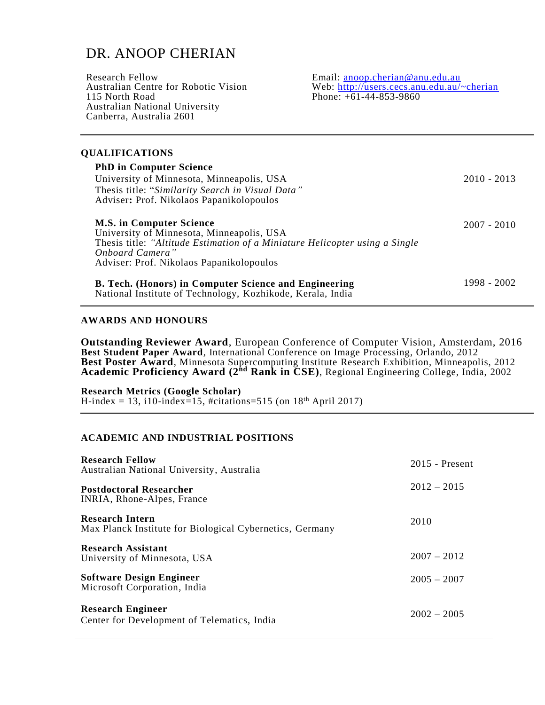# DR. ANOOP CHERIAN

| Research Fellow                       | Email: $\arccos 2$ enconcherian @ anu.edu.au |
|---------------------------------------|----------------------------------------------|
| Australian Centre for Robotic Vision  | Web: http://users.cecs.anu.edu.au/~cherian   |
| 115 North Road                        | Phone: $+61-44-853-9860$                     |
| <b>Australian National University</b> |                                              |
| Canberra, Australia 2601              |                                              |
|                                       |                                              |

### **QUALIFICATIONS**

| <b>PhD in Computer Science</b><br>University of Minnesota, Minneapolis, USA<br>Thesis title: "Similarity Search in Visual Data"<br>Adviser: Prof. Nikolaos Papanikolopoulos                                                | $2010 - 2013$ |
|----------------------------------------------------------------------------------------------------------------------------------------------------------------------------------------------------------------------------|---------------|
| <b>M.S. in Computer Science</b><br>University of Minnesota, Minneapolis, USA<br>Thesis title: "Altitude Estimation of a Miniature Helicopter using a Single<br>Onboard Camera"<br>Adviser: Prof. Nikolaos Papanikolopoulos | $2007 - 2010$ |
| B. Tech. (Honors) in Computer Science and Engineering<br>National Institute of Technology, Kozhikode, Kerala, India                                                                                                        | 1998 - 2002   |

### **AWARDS AND HONOURS**

**Outstanding Reviewer Award**, European Conference of Computer Vision, Amsterdam, 2016 **Best Student Paper Award**, International Conference on Image Processing, Orlando, 2012 **Best Poster Award**, Minnesota Supercomputing Institute Research Exhibition, Minneapolis, 2012 **Academic Proficiency Award (2nd Rank in CSE)**, Regional Engineering College, India, 2002

### **Research Metrics (Google Scholar)**

H-index = 13, i10-index=15, #citations=515 (on  $18<sup>th</sup>$  April 2017)

### **ACADEMIC AND INDUSTRIAL POSITIONS**

| <b>Research Fellow</b><br>Australian National University, Australia         | $2015$ - Present |
|-----------------------------------------------------------------------------|------------------|
| <b>Postdoctoral Researcher</b><br>INRIA, Rhone-Alpes, France                | $2012 - 2015$    |
| Research Intern<br>Max Planck Institute for Biological Cybernetics, Germany | 2010             |
| <b>Research Assistant</b><br>University of Minnesota, USA                   | $2007 - 2012$    |
| <b>Software Design Engineer</b><br>Microsoft Corporation, India             | $2005 - 2007$    |
| <b>Research Engineer</b><br>Center for Development of Telematics, India     | $2002 - 2005$    |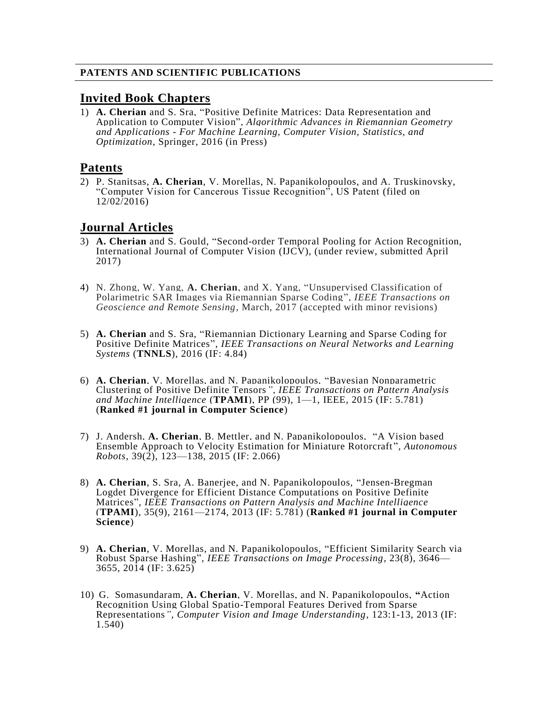## **PATENTS AND SCIENTIFIC PUBLICATIONS**

## **Invited Book Chapters**

1) **A. Cherian** and S. Sra, "Positive Definite Matrices: Data Representation and Application to Computer Vision"*, Algorithmic Advances in Riemannian Geometry and Applications - For Machine Learning, Computer Vision, Statistics, and Optimization*, Springer, 2016 (in Press)

## **Patents**

2) P. Stanitsas, **A. Cherian**, V. Morellas, N. Papanikolopoulos, and A. Truskinovsky, "Computer Vision for Cancerous Tissue Recognition", US Patent (filed on 12/02/2016)

## **Journal Articles**

- 3) **A. Cherian** and S. Gould, "Second-order Temporal Pooling for Action Recognition, International Journal of Computer Vision (IJCV), (under review, submitted April 2017)
- 4) N. Zhong, W. Yang, **A. Cherian**, and X. Yang, "Unsupervised Classification of Polarimetric SAR Images via Riemannian Sparse Coding", *IEEE Transactions on Geoscience and Remote Sensing*, March, 2017 (accepted with minor revisions)
- 5) **A. Cherian** and S. Sra, "Riemannian Dictionary Learning and Sparse Coding for Positive Definite Matrices", *IEEE Transactions on Neural Networks and Learning Systems* (**TNNLS**), 2016 (IF: 4.84)
- 6) **A. Cherian**, V. Morellas, and N. Papanikolopoulos, "Bayesian Nonparametric Clustering of Positive Definite Tensors*", IEEE Transactions on Pattern Analysis and Machine Intelligence* (**TPAMI**), PP (99), 1—1, IEEE, 2015 (IF: 5.781) (**Ranked #1 journal in Computer Science**)
- 7) J. Andersh, **A. Cherian**, B. Mettler, and N. Papanikolopoulos, "A Vision based Ensemble Approach to Velocity Estimation for Miniature Rotorcraft "*, Autonomous Robots*, 39(2), 123—138, 2015 (IF: 2.066)
- 8) **A. Cherian**, S. Sra, A. Banerjee, and N. Papanikolopoulos, "Jensen-Bregman Logdet Divergence for Efficient Distance Computations on Positive Definite Matrices", *IEEE Transactions on Pattern Analysis and Machine Intelligence*  (**TPAMI**), 35(9), 2161—2174, 2013 (IF: 5.781) (**Ranked #1 journal in Computer Science**)
- 9) **A. Cherian**, V. Morellas, and N. Papanikolopoulos, "Efficient Similarity Search via Robust Sparse Hashing"*, IEEE Transactions on Image Processing*, 23(8), 3646— 3655, 2014 (IF: 3.625)
- 10) G. Somasundaram, **A. Cherian**, V. Morellas, and N. Papanikolopoulos, **"**Action Recognition Using Global Spatio-Temporal Features Derived from Sparse Representations*", Computer Vision and Image Understanding*, 123:1-13, 2013 (IF: 1.540)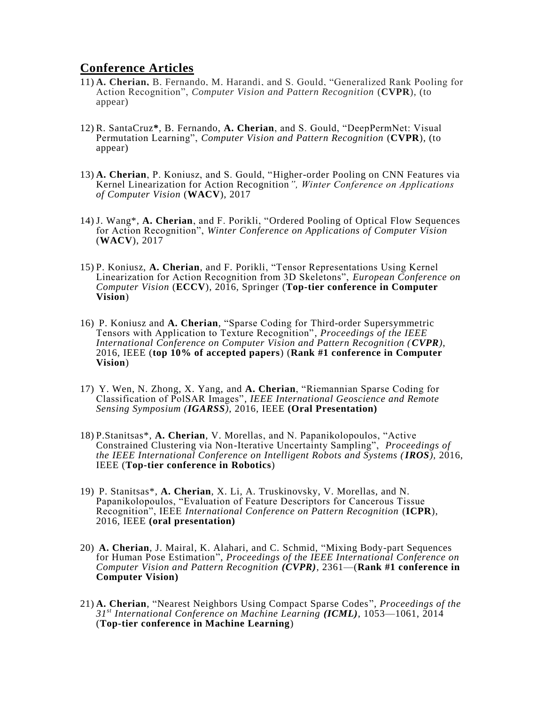## **Conference Articles**

- 11) **A. Cherian,** B. Fernando, M. Harandi, and S. Gould, "Generalized Rank Pooling for Action Recognition", *Computer Vision and Pattern Recognition* (**CVPR**), (to appear)
- 12) R. SantaCruz**\***, B. Fernando, **A. Cherian**, and S. Gould, "DeepPermNet: Visual Permutation Learning", *Computer Vision and Pattern Recognition* (**CVPR**), (to appear)
- 13) **A. Cherian**, P. Koniusz, and S. Gould, "Higher-order Pooling on CNN Features via Kernel Linearization for Action Recognition*", Winter Conference on Applications of Computer Vision* (**WACV**), 2017
- 14) J. Wang\*, **A. Cherian**, and F. Porikli, "Ordered Pooling of Optical Flow Sequences for Action Recognition", *Winter Conference on Applications of Computer Vision*  (**WACV**), 2017
- 15) P. Koniusz, **A. Cherian**, and F. Porikli, "Tensor Representations Using Kernel Linearization for Action Recognition from 3D Skeletons", *European Conference on Computer Vision* (**ECCV**), 2016, Springer (**Top-tier conference in Computer Vision**)
- 16) P. Koniusz and **A. Cherian**, "Sparse Coding for Third-order Supersymmetric Tensors with Application to Texture Recognition", *Proceedings of the IEEE International Conference on Computer Vision and Pattern Recognition (CVPR)*, 2016, IEEE (**top 10% of accepted papers**) (**Rank #1 conference in Computer Vision**)
- 17) Y. Wen, N. Zhong, X. Yang, and **A. Cherian**, "Riemannian Sparse Coding for Classification of PolSAR Images"*, IEEE International Geoscience and Remote Sensing Symposium (IGARSS)*, 2016, IEEE **(Oral Presentation)**
- 18) P.Stanitsas\*, **A. Cherian**, V. Morellas, and N. Papanikolopoulos, "Active Constrained Clustering via Non-Iterative Uncertainty Sampling", *Proceedings of the IEEE International Conference on Intelligent Robots and Systems (IROS),* 2016, IEEE (**Top-tier conference in Robotics**)
- 19) P. Stanitsas\*, **A. Cherian**, X. Li, A. Truskinovsky, V. Morellas, and N. Papanikolopoulos, "Evaluation of Feature Descriptors for Cancerous Tissue Recognition", IEEE *International Conference on Pattern Recognition* (**ICPR**), 2016, IEEE **(oral presentation)**
- 20) **A. Cherian**, J. Mairal, K. Alahari, and C. Schmid, "Mixing Body-part Sequences for Human Pose Estimation", *Proceedings of the IEEE International Conference on Computer Vision and Pattern Recognition (CVPR)*, 2361—(**Rank #1 conference in Computer Vision)**
- 21) **A. Cherian**, "Nearest Neighbors Using Compact Sparse Codes", *Proceedings of the 31st International Conference on Machine Learning (ICML)*, 1053—1061, 2014 (**Top-tier conference in Machine Learning**)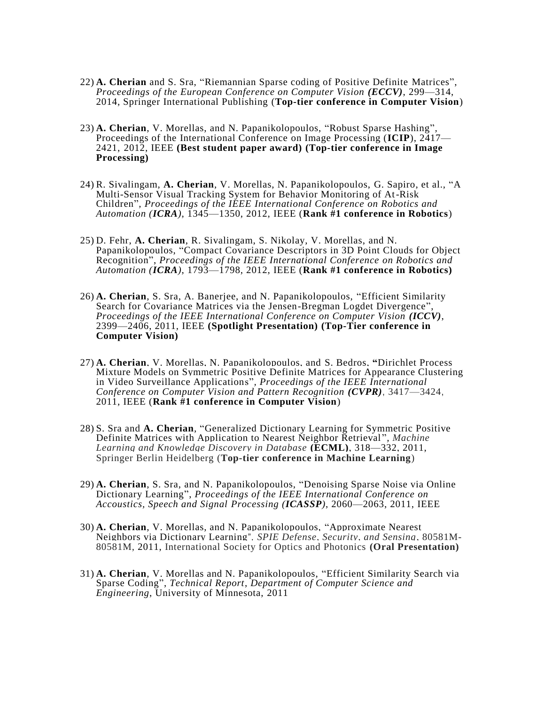- 22) **A. Cherian** and S. Sra, "Riemannian Sparse coding of Positive Definite Matrices", *Proceedings of the European Conference on Computer Vision (ECCV)*, 299—314, 2014, Springer International Publishing (**Top-tier conference in Computer Vision**)
- 23) **A. Cherian**, V. Morellas, and N. Papanikolopoulos, "Robust Sparse Hashing"*,* Proceedings of the International Conference on Image Processing (**ICIP**), 2417— 2421, 2012, IEEE **(Best student paper award) (Top-tier conference in Image Processing)**
- 24) R. Sivalingam, **A. Cherian**, V. Morellas, N. Papanikolopoulos, G. Sapiro, et al., "A Multi-Sensor Visual Tracking System for Behavior Monitoring of At-Risk Children"*, Proceedings of the IEEE International Conference on Robotics and Automation (ICRA)*, 1345—1350, 2012, IEEE (**Rank #1 conference in Robotics**)
- 25) D. Fehr, **A. Cherian**, R. Sivalingam, S. Nikolay, V. Morellas, and N. Papanikolopoulos, "Compact Covariance Descriptors in 3D Point Clouds for Object Recognition", *Proceedings of the IEEE International Conference on Robotics and Automation (ICRA)*, 1793—1798, 2012, IEEE (**Rank #1 conference in Robotics)**
- 26) **A. Cherian**, S. Sra, A. Banerjee, and N. Papanikolopoulos, "Efficient Similarity Search for Covariance Matrices via the Jensen-Bregman Logdet Divergence", *Proceedings of the IEEE International Conference on Computer Vision (ICCV)*, 2399—2406, 2011, IEEE **(Spotlight Presentation) (Top-Tier conference in Computer Vision)**
- 27) **A. Cherian**, V. Morellas, N. Papanikolopoulos, and S. Bedros, **"**Dirichlet Process Mixture Models on Symmetric Positive Definite Matrices for Appearance Clustering in Video Surveillance Applications"*, Proceedings of the IEEE International Conference on Computer Vision and Pattern Recognition (CVPR)*, 3417—3424, 2011, IEEE (**Rank #1 conference in Computer Vision**)
- 28) S. Sra and **A. Cherian**, "Generalized Dictionary Learning for Symmetric Positive Definite Matrices with Application to Nearest Neighbor Retrieval "*, Machine Learning and Knowledge Discovery in Database* **(ECML)**, 318—332, 2011, Springer Berlin Heidelberg (**Top-tier conference in Machine Learning**)
- 29) **A. Cherian**, S. Sra, and N. Papanikolopoulos, "Denoising Sparse Noise via Online Dictionary Learning", *Proceedings of the IEEE International Conference on Accoustics, Speech and Signal Processing (ICASSP)*, 2060—2063, 2011, IEEE
- 30) **A. Cherian**, V. Morellas, and N. Papanikolopoulos, "Approximate Nearest Neighbors via Dictionary Learning"*, SPIE Defense, Security, and Sensing*, 80581M-80581M, 2011, International Society for Optics and Photonics **(Oral Presentation)**
- 31) **A. Cherian**, V. Morellas and N. Papanikolopoulos, "Efficient Similarity Search via Sparse Coding", *Technical Report*, *Department of Computer Science and Engineering*, University of Minnesota, 2011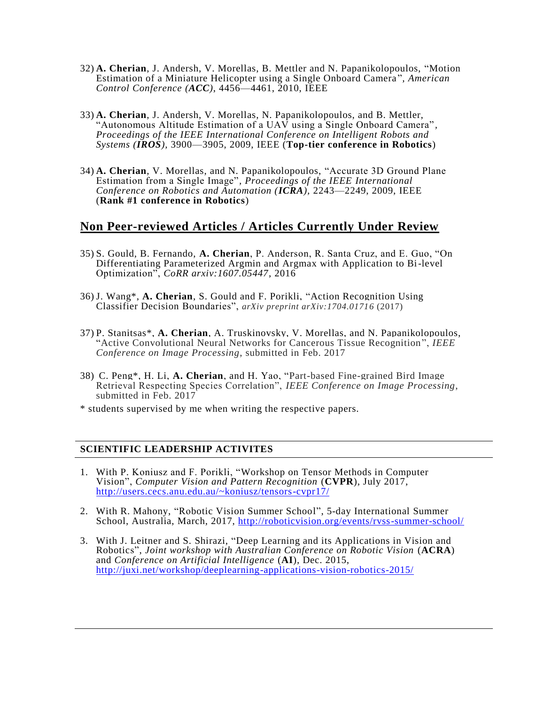- 32) **A. Cherian**, J. Andersh, V. Morellas, B. Mettler and N. Papanikolopoulos, "Motion Estimation of a Miniature Helicopter using a Single Onboard Camera "*, American Control Conference (ACC)*, 4456—4461, 2010, IEEE
- 33) **A. Cherian**, J. Andersh, V. Morellas, N. Papanikolopoulos, and B. Mettler, "Autonomous Altitude Estimation of a UAV using a Single Onboard Camera" *, Proceedings of the IEEE International Conference on Intelligent Robots and Systems (IROS),* 3900—3905, 2009, IEEE (**Top-tier conference in Robotics**)
- 34) **A. Cherian**, V. Morellas, and N. Papanikolopoulos, "Accurate 3D Ground Plane Estimation from a Single Image"*, Proceedings of the IEEE International Conference on Robotics and Automation (ICRA),* 2243—2249, 2009, IEEE (**Rank #1 conference in Robotics**)

## **Non Peer-reviewed Articles / Articles Currently Under Review**

- 35) S. Gould, B. Fernando, **A. Cherian**, P. Anderson, R. Santa Cruz, and E. Guo, "On Differentiating Parameterized Argmin and Argmax with Application to Bi-level Optimization", *CoRR arxiv:1607.05447*, 2016
- 36) J. Wang\*, **A. Cherian**, S. Gould and F. Porikli, "Action Recognition Using Classifier Decision Boundaries", *arXiv preprint arXiv:1704.01716* (2017)
- 37) P. Stanitsas\*, **A. Cherian**, A. Truskinovsky, V. Morellas, and N. Papanikolopoulos, "Active Convolutional Neural Networks for Cancerous Tissue Recognition ", *IEEE Conference on Image Processing*, submitted in Feb. 2017
- 38) C. Peng\*, H. Li, **A. Cherian**, and H. Yao, "Part-based Fine-grained Bird Image Retrieval Respecting Species Correlation", *IEEE Conference on Image Processing*, submitted in Feb. 2017
- \* students supervised by me when writing the respective papers.

### **SCIENTIFIC LEADERSHIP ACTIVITES**

- 1. With P. Koniusz and F. Porikli, "Workshop on Tensor Methods in Computer Vision", *Computer Vision and Pattern Recognition* (**CVPR**), July 2017, <http://users.cecs.anu.edu.au/~koniusz/tensors-cvpr17/>
- 2. With R. Mahony, "Robotic Vision Summer School", 5-day International Summer School, Australia, March, 2017,<http://roboticvision.org/events/rvss-summer-school/>
- 3. With J. Leitner and S. Shirazi, "Deep Learning and its Applications in Vision and Robotics", *Joint workshop with Australian Conference on Robotic Vision* (**ACRA**) and *Conference on Artificial Intelligence* (**AI**), Dec. 2015, <http://juxi.net/workshop/deeplearning-applications-vision-robotics-2015/>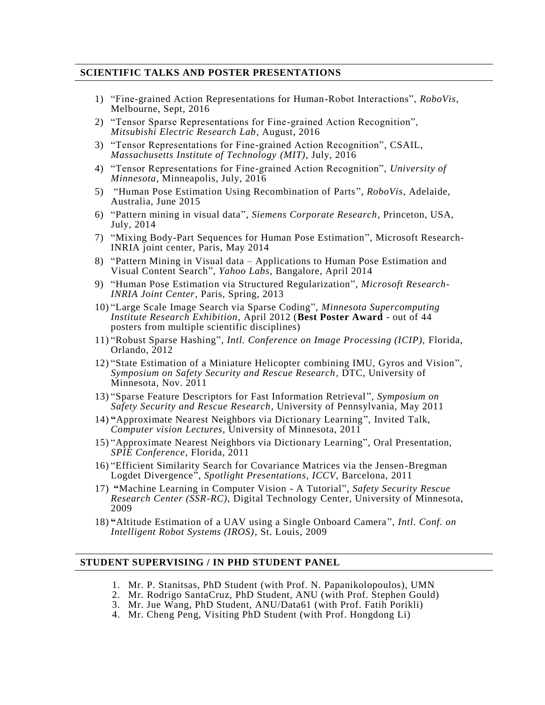### **SCIENTIFIC TALKS AND POSTER PRESENTATIONS**

- 1) "Fine-grained Action Representations for Human-Robot Interactions", *RoboVis*, Melbourne, Sept, 2016
- 2) "Tensor Sparse Representations for Fine-grained Action Recognition", *Mitsubishi Electric Research Lab*, August, 2016
- 3) "Tensor Representations for Fine-grained Action Recognition", CSAIL, *Massachusetts Institute of Technology (MIT)*, July, 2016
- 4) "Tensor Representations for Fine-grained Action Recognition", *University of Minnesota*, Minneapolis, July, 2016
- 5) "Human Pose Estimation Using Recombination of Parts", *RoboVis*, Adelaide, Australia, June 2015
- 6) "Pattern mining in visual data", *Siemens Corporate Research*, Princeton, USA, July, 2014
- 7) "Mixing Body-Part Sequences for Human Pose Estimation", Microsoft Research-INRIA joint center, Paris, May 2014
- 8) "Pattern Mining in Visual data Applications to Human Pose Estimation and Visual Content Search", *Yahoo Labs*, Bangalore, April 2014
- 9) "Human Pose Estimation via Structured Regularization", *Microsoft Research-INRIA Joint Center*, Paris, Spring, 2013
- 10) "Large Scale Image Search via Sparse Coding", *Minnesota Supercomputing Institute Research Exhibition*, April 2012 (**Best Poster Award** - out of 44 posters from multiple scientific disciplines)
- 11) "Robust Sparse Hashing", *Intl. Conference on Image Processing (ICIP),* Florida, Orlando, 2012
- 12) "State Estimation of a Miniature Helicopter combining IMU, Gyros and Vision", *Symposium on Safety Security and Rescue Research*, DTC, University of Minnesota, Nov. 2011
- 13) "Sparse Feature Descriptors for Fast Information Retrieval ", *Symposium on Safety Security and Rescue Research*, University of Pennsylvania, May 2011
- 14) **"**Approximate Nearest Neighbors via Dictionary Learning", Invited Talk, *Computer vision Lectures*, University of Minnesota, 2011
- 15) "Approximate Nearest Neighbors via Dictionary Learning", Oral Presentation, *SPIE Conference*, Florida, 2011
- 16) "Efficient Similarity Search for Covariance Matrices via the Jensen -Bregman Logdet Divergence", *Spotlight Presentations, ICCV*, Barcelona, 2011
- 17) **"**Machine Learning in Computer Vision A Tutorial", *Safety Security Rescue Research Center (SSR-RC)*, Digital Technology Center, University of Minnesota, 2009
- 18) **"**Altitude Estimation of a UAV using a Single Onboard Camera ", *Intl. Conf. on Intelligent Robot Systems (IROS)*, St. Louis, 2009

#### **STUDENT SUPERVISING / IN PHD STUDENT PANEL**

- 1. Mr. P. Stanitsas, PhD Student (with Prof. N. Papanikolopoulos), UMN
- 2. Mr. Rodrigo SantaCruz, PhD Student, ANU (with Prof. Stephen Gould)
- 3. Mr. Jue Wang, PhD Student, ANU/Data61 (with Prof. Fatih Porikli)
- 4. Mr. Cheng Peng, Visiting PhD Student (with Prof. Hongdong Li)